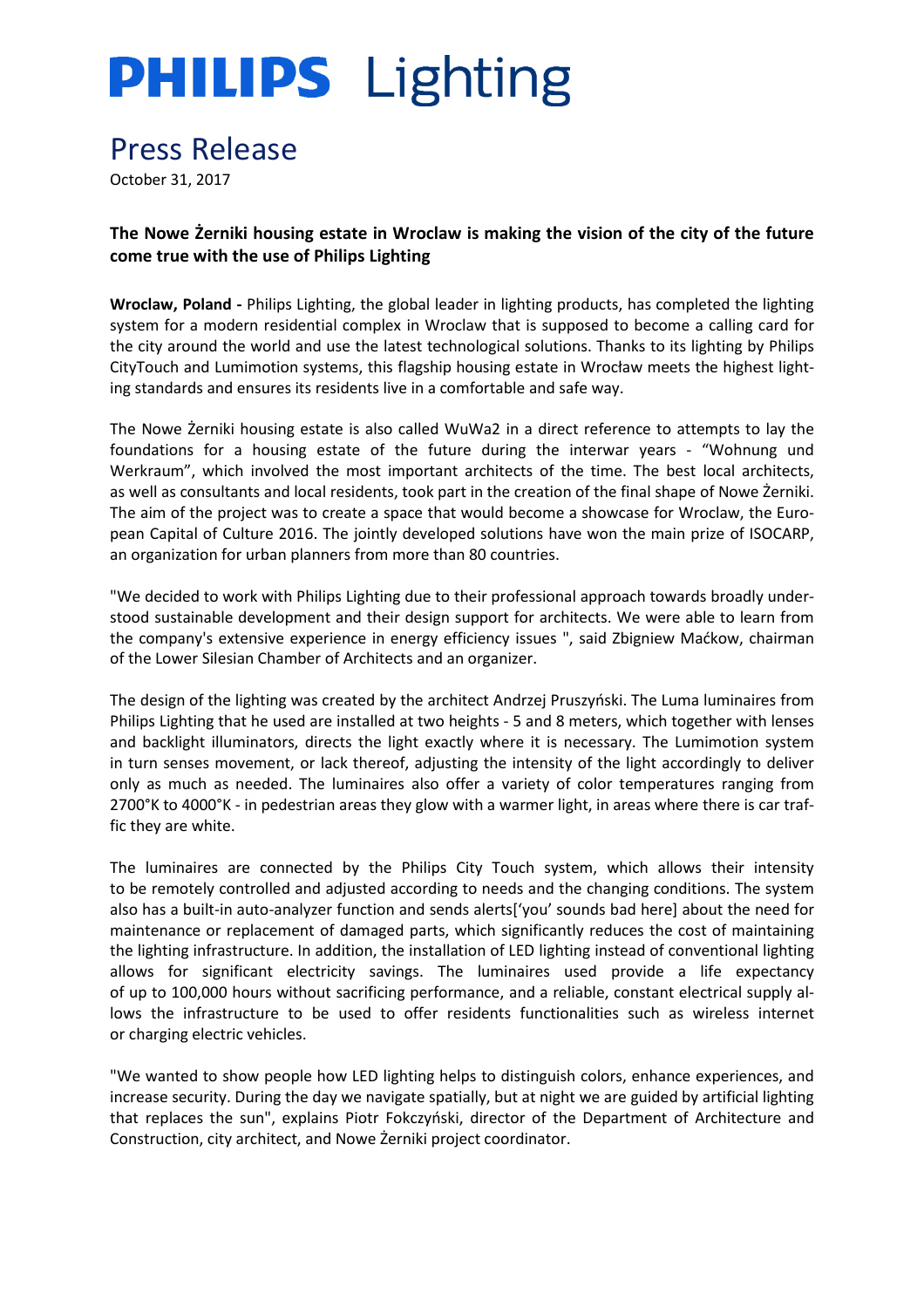# **PHILIPS** Lighting

## Press Release

October 31, 2017

**The Nowe Żerniki housing estate in Wroclaw is making the vision of the city of the future come true with the use of Philips Lighting**

**Wroclaw, Poland -** Philips Lighting, the global leader in lighting products, has completed the lighting system for a modern residential complex in Wroclaw that is supposed to become a calling card for the city around the world and use the latest technological solutions. Thanks to its lighting by Philips CityTouch and Lumimotion systems, this flagship housing estate in Wrocław meets the highest lighting standards and ensures its residents live in a comfortable and safe way.

The Nowe Żerniki housing estate is also called WuWa2 in a direct reference to attempts to lay the foundations for a housing estate of the future during the interwar years - "Wohnung und Werkraum", which involved the most important architects of the time. The best local architects, as well as consultants and local residents, took part in the creation of the final shape of Nowe Żerniki. The aim of the project was to create a space that would become a showcase for Wroclaw, the European Capital of Culture 2016. The jointly developed solutions have won the main prize of ISOCARP, an organization for urban planners from more than 80 countries.

"We decided to work with Philips Lighting due to their professional approach towards broadly understood sustainable development and their design support for architects. We were able to learn from the company's extensive experience in energy efficiency issues ", said Zbigniew Maćkow, chairman of the Lower Silesian Chamber of Architects and an organizer.

The design of the lighting was created by the architect Andrzej Pruszyński. The Luma luminaires from Philips Lighting that he used are installed at two heights - 5 and 8 meters, which together with lenses and backlight illuminators, directs the light exactly where it is necessary. The Lumimotion system in turn senses movement, or lack thereof, adjusting the intensity of the light accordingly to deliver only as much as needed. The luminaires also offer a variety of color temperatures ranging from 2700°K to 4000°K - in pedestrian areas they glow with a warmer light, in areas where there is car traffic they are white.

The luminaires are connected by the Philips City Touch system, which allows their intensity to be remotely controlled and adjusted according to needs and the changing conditions. The system also has a built-in auto-analyzer function and sends alerts['you' sounds bad here] about the need for maintenance or replacement of damaged parts, which significantly reduces the cost of maintaining the lighting infrastructure. In addition, the installation of LED lighting instead of conventional lighting allows for significant electricity savings. The luminaires used provide a life expectancy of up to 100,000 hours without sacrificing performance, and a reliable, constant electrical supply allows the infrastructure to be used to offer residents functionalities such as wireless internet or charging electric vehicles.

"We wanted to show people how LED lighting helps to distinguish colors, enhance experiences, and increase security. During the day we navigate spatially, but at night we are guided by artificial lighting that replaces the sun", explains Piotr Fokczyński, director of the Department of Architecture and Construction, city architect, and Nowe Żerniki project coordinator.